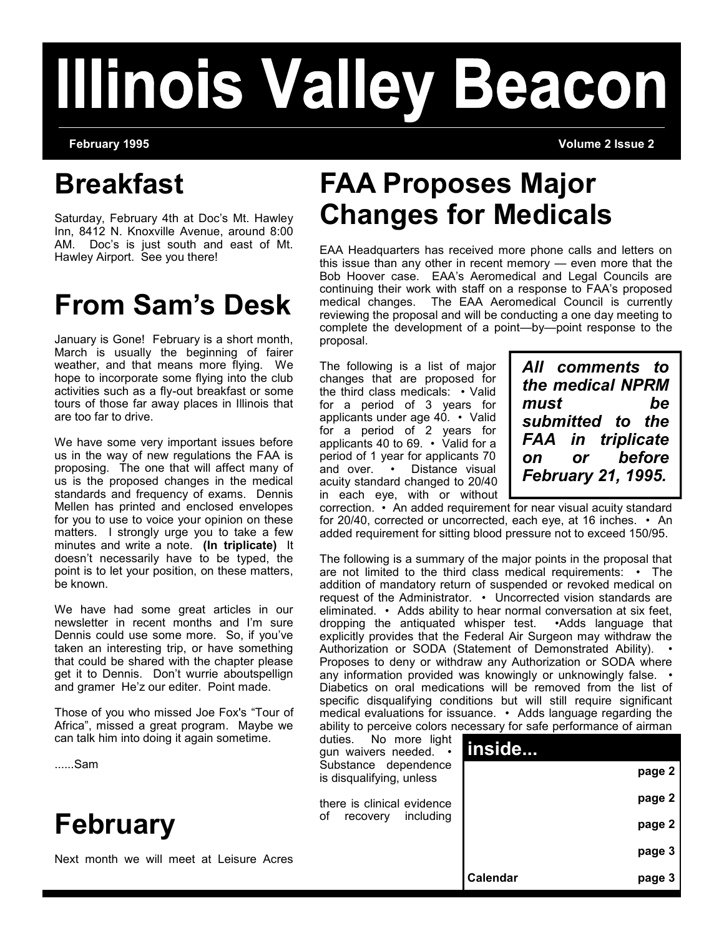# **Illinois Valley Beacon**

**February 1995 Volume 2 Issue 2**

## **Breakfast**

Saturday, February 4th at Doc's Mt. Hawley Inn, 8412 N. Knoxville Avenue, around 8:00 AM. Doc's is just south and east of Mt. Hawley Airport. See you there!

# **From Sam's Desk**

January is Gone! February is a short month, March is usually the beginning of fairer weather, and that means more flying. We hope to incorporate some flying into the club activities such as a fly-out breakfast or some tours of those far away places in Illinois that are too far to drive.

We have some very important issues before us in the way of new regulations the FAA is proposing. The one that will affect many of us is the proposed changes in the medical standards and frequency of exams. Dennis Mellen has printed and enclosed envelopes for you to use to voice your opinion on these matters. I strongly urge you to take a few minutes and write a note. **(In triplicate)** It doesn't necessarily have to be typed, the point is to let your position, on these matters, be known.

We have had some great articles in our newsletter in recent months and I'm sure Dennis could use some more. So, if you've taken an interesting trip, or have something that could be shared with the chapter please get it to Dennis. Don't wurrie aboutspellign and gramer He'z our editer. Point made.

Those of you who missed Joe Fox's "Tour of Africa", missed a great program. Maybe we can talk him into doing it again

......Sam

# **February**

Next month we will meet at

# **FAA Proposes Major Changes for Medicals**

EAA Headquarters has received more phone calls and letters on this issue than any other in recent memory — even more that the Bob Hoover case. EAA's Aeromedical and Legal Councils are continuing their work with staff on a response to FAA's proposed medical changes. The EAA Aeromedical Council is currently reviewing the proposal and will be conducting a one day meeting to complete the development of a point—by—point response to the proposal.

The following is a list of major changes that are proposed for the third class medicals: • Valid for a period of 3 years for applicants under age 40. • Valid for a period of 2 years for applicants 40 to 69. • Valid for a period of 1 year for applicants 70 and over. • Distance visual acuity standard changed to 20/40 in each eye, with or without *All comments to the medical NPRM must be submitted to the FAA in triplicate on or before February 21, 1995.* 

correction. • An added requirement for near visual acuity standard for 20/40, corrected or uncorrected, each eye, at 16 inches. • An added requirement for sitting blood pressure not to exceed 150/95.

The following is a summary of the major points in the proposal that are not limited to the third class medical requirements: • The addition of mandatory return of suspended or revoked medical on request of the Administrator. • Uncorrected vision standards are eliminated. • Adds ability to hear normal conversation at six feet, dropping the antiquated whisper test. •Adds language that explicitly provides that the Federal Air Surgeon may withdraw the Authorization or SODA (Statement of Demonstrated Ability). Proposes to deny or withdraw any Authorization or SODA where any information provided was knowingly or unknowingly false. • Diabetics on oral medications will be removed from the list of specific disqualifying conditions but will still require significant medical evaluations for issuance. • Adds language regarding the ability to perceive colors necessary for safe performance of airman

| sometime.     | No more light<br>duties.<br>gun waivers needed. •<br>Substance dependence | inside   |        |
|---------------|---------------------------------------------------------------------------|----------|--------|
|               | is disqualifying, unless                                                  |          | page 2 |
|               | there is clinical evidence<br>οf<br>including<br>recovery                 |          | page 2 |
|               |                                                                           |          | page 2 |
| Leisure Acres |                                                                           |          | page 3 |
|               |                                                                           | Calendar | page 3 |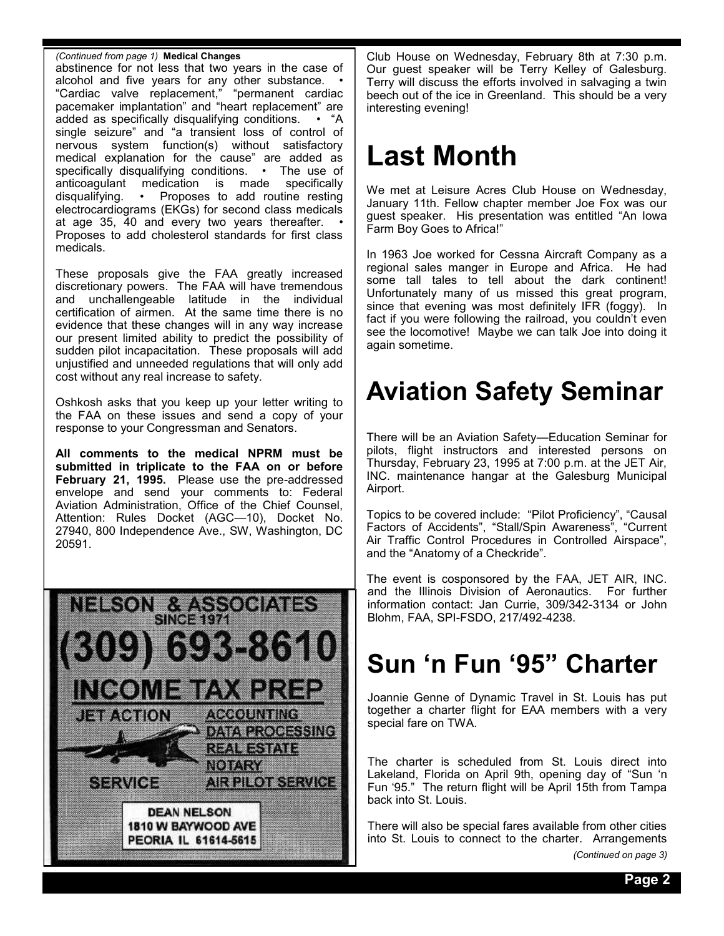#### *(Continued from page 1)* **Medical Changes**

abstinence for not less that two years in the case of alcohol and five years for any other substance. • "Cardiac valve replacement," "permanent cardiac pacemaker implantation" and "heart replacement" are added as specifically disqualifying conditions. • "A single seizure" and "a transient loss of control of nervous system function(s) without satisfactory medical explanation for the cause" are added as specifically disqualifying conditions. • The use of anticoagulant medication is made specifically disqualifying. • Proposes to add routine resting electrocardiograms (EKGs) for second class medicals at age 35, 40 and every two years thereafter. • Proposes to add cholesterol standards for first class medicals.

These proposals give the FAA greatly increased discretionary powers. The FAA will have tremendous and unchallengeable latitude in the individual certification of airmen. At the same time there is no evidence that these changes will in any way increase our present limited ability to predict the possibility of sudden pilot incapacitation. These proposals will add unjustified and unneeded regulations that will only add cost without any real increase to safety.

Oshkosh asks that you keep up your letter writing to the FAA on these issues and send a copy of your response to your Congressman and Senators.

**All comments to the medical NPRM must be submitted in triplicate to the FAA on or before February 21, 1995.** Please use the pre-addressed envelope and send your comments to: Federal Aviation Administration, Office of the Chief Counsel, Attention: Rules Docket (AGC—10), Docket No. 27940, 800 Independence Ave., SW, Washington, DC 20591.



Club House on Wednesday, February 8th at 7:30 p.m. Our guest speaker will be Terry Kelley of Galesburg. Terry will discuss the efforts involved in salvaging a twin beech out of the ice in Greenland. This should be a very interesting evening!

# **Last Month**

We met at Leisure Acres Club House on Wednesday, January 11th. Fellow chapter member Joe Fox was our guest speaker. His presentation was entitled "An Iowa Farm Boy Goes to Africa!"

In 1963 Joe worked for Cessna Aircraft Company as a regional sales manger in Europe and Africa. He had some tall tales to tell about the dark continent! Unfortunately many of us missed this great program, since that evening was most definitely IFR (foggy). In fact if you were following the railroad, you couldn't even see the locomotive! Maybe we can talk Joe into doing it again sometime.

# **Aviation Safety Seminar**

There will be an Aviation Safety—Education Seminar for pilots, flight instructors and interested persons on Thursday, February 23, 1995 at 7:00 p.m. at the JET Air, INC. maintenance hangar at the Galesburg Municipal Airport.

Topics to be covered include: "Pilot Proficiency", "Causal Factors of Accidents", "Stall/Spin Awareness", "Current Air Traffic Control Procedures in Controlled Airspace", and the "Anatomy of a Checkride".

The event is cosponsored by the FAA, JET AIR, INC. and the Illinois Division of Aeronautics. For further information contact: Jan Currie, 309/342-3134 or John Blohm, FAA, SPI-FSDO, 217/492-4238.

### **Sun 'n Fun '95" Charter**

Joannie Genne of Dynamic Travel in St. Louis has put together a charter flight for EAA members with a very special fare on TWA.

The charter is scheduled from St. Louis direct into Lakeland, Florida on April 9th, opening day of "Sun 'n Fun '95." The return flight will be April 15th from Tampa back into St. Louis.

There will also be special fares available from other cities into St. Louis to connect to the charter. Arrangements *(Continued on page 3)*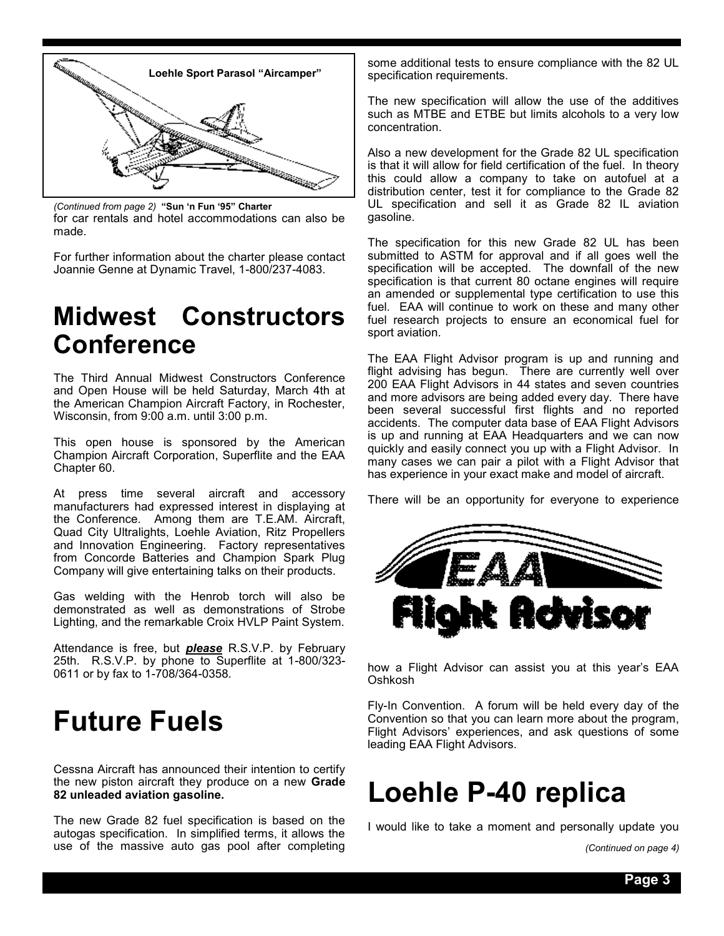

for car rentals and hotel accommodations can also be made. *(Continued from page 2)* **"Sun 'n Fun '95" Charter**

For further information about the charter please contact Joannie Genne at Dynamic Travel, 1-800/237-4083.

### **Midwest Constructors Conference**

The Third Annual Midwest Constructors Conference and Open House will be held Saturday, March 4th at the American Champion Aircraft Factory, in Rochester, Wisconsin, from 9:00 a.m. until 3:00 p.m.

This open house is sponsored by the American Champion Aircraft Corporation, Superflite and the EAA Chapter 60.

At press time several aircraft and accessory manufacturers had expressed interest in displaying at the Conference. Among them are T.E.AM. Aircraft, Quad City Ultralights, Loehle Aviation, Ritz Propellers and Innovation Engineering. Factory representatives from Concorde Batteries and Champion Spark Plug Company will give entertaining talks on their products.

Gas welding with the Henrob torch will also be demonstrated as well as demonstrations of Strobe Lighting, and the remarkable Croix HVLP Paint System.

Attendance is free, but *please* R.S.V.P. by February 25th. R.S.V.P. by phone to Superflite at 1-800/323- 0611 or by fax to 1-708/364-0358.

# **Future Fuels**

Cessna Aircraft has announced their intention to certify the new piston aircraft they produce on a new **Grade 82 unleaded aviation gasoline.**

The new Grade 82 fuel specification is based on the autogas specification. In simplified terms, it allows the use of the massive auto gas pool after completing some additional tests to ensure compliance with the 82 UL specification requirements.

The new specification will allow the use of the additives such as MTBE and ETBE but limits alcohols to a very low concentration.

Also a new development for the Grade 82 UL specification is that it will allow for field certification of the fuel. In theory this could allow a company to take on autofuel at a distribution center, test it for compliance to the Grade 82 UL specification and sell it as Grade 82 IL aviation gasoline.

The specification for this new Grade 82 UL has been submitted to ASTM for approval and if all goes well the specification will be accepted. The downfall of the new specification is that current 80 octane engines will require an amended or supplemental type certification to use this fuel. EAA will continue to work on these and many other fuel research projects to ensure an economical fuel for sport aviation.

The EAA Flight Advisor program is up and running and flight advising has begun. There are currently well over 200 EAA Flight Advisors in 44 states and seven countries and more advisors are being added every day. There have been several successful first flights and no reported accidents. The computer data base of EAA Flight Advisors is up and running at EAA Headquarters and we can now quickly and easily connect you up with a Flight Advisor. In many cases we can pair a pilot with a Flight Advisor that has experience in your exact make and model of aircraft.

There will be an opportunity for everyone to experience



how a Flight Advisor can assist you at this year's EAA Oshkosh

Fly-In Convention. A forum will be held every day of the Convention so that you can learn more about the program, Flight Advisors' experiences, and ask questions of some leading EAA Flight Advisors.

### **Loehle P-40 replica**

I would like to take a moment and personally update you

*<sup>(</sup>Continued on page 4)*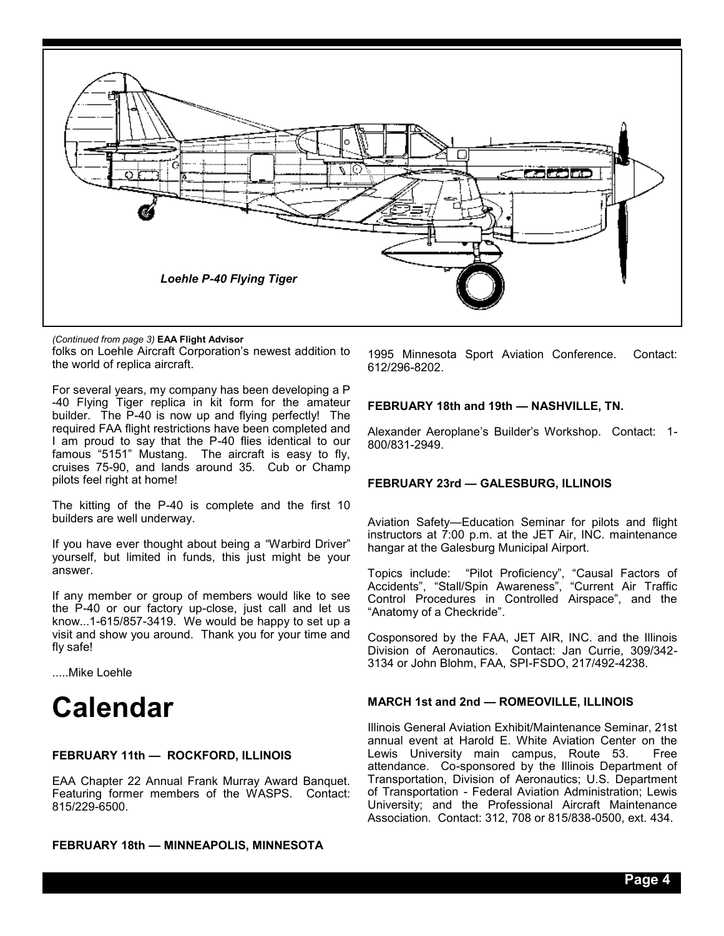

folks on Loehle Aircraft Corporation's newest addition to the world of replica aircraft. *(Continued from page 3)* **EAA Flight Advisor**

For several years, my company has been developing a P -40 Flying Tiger replica in kit form for the amateur builder. The P-40 is now up and flying perfectly! The required FAA flight restrictions have been completed and I am proud to say that the P-40 flies identical to our famous "5151" Mustang. The aircraft is easy to fly, cruises 75-90, and lands around 35. Cub or Champ pilots feel right at home!

The kitting of the P-40 is complete and the first 10 builders are well underway.

If you have ever thought about being a "Warbird Driver" yourself, but limited in funds, this just might be your answer.

If any member or group of members would like to see the P-40 or our factory up-close, just call and let us know...1-615/857-3419. We would be happy to set up a visit and show you around. Thank you for your time and fly safe!

.....Mike Loehle

### **Calendar**

#### **FEBRUARY 11th — ROCKFORD, ILLINOIS**

EAA Chapter 22 Annual Frank Murray Award Banquet. Featuring former members of the WASPS. Contact: 815/229-6500.

**FEBRUARY 18th — MINNEAPOLIS, MINNESOTA**

1995 Minnesota Sport Aviation Conference. Contact: 612/296-8202.

#### **FEBRUARY 18th and 19th — NASHVILLE, TN.**

Alexander Aeroplane's Builder's Workshop. Contact: 1- 800/831-2949.

#### **FEBRUARY 23rd — GALESBURG, ILLINOIS**

Aviation Safety—Education Seminar for pilots and flight instructors at  $7:00$  p.m. at the JET Air, INC. maintenance hangar at the Galesburg Municipal Airport.

Topics include: "Pilot Proficiency", "Causal Factors of Accidents", "Stall/Spin Awareness", "Current Air Traffic Control Procedures in Controlled Airspace", and the "Anatomy of a Checkride".

Cosponsored by the FAA, JET AIR, INC. and the Illinois Division of Aeronautics. Contact: Jan Currie, 309/342- 3134 or John Blohm, FAA, SPI-FSDO, 217/492-4238.

#### **MARCH 1st and 2nd — ROMEOVILLE, ILLINOIS**

Illinois General Aviation Exhibit/Maintenance Seminar, 21st annual event at Harold E. White Aviation Center on the Lewis University main campus, Route 53. attendance. Co-sponsored by the Illinois Department of Transportation, Division of Aeronautics; U.S. Department of Transportation - Federal Aviation Administration; Lewis University; and the Professional Aircraft Maintenance Association. Contact: 312, 708 or 815/838-0500, ext. 434.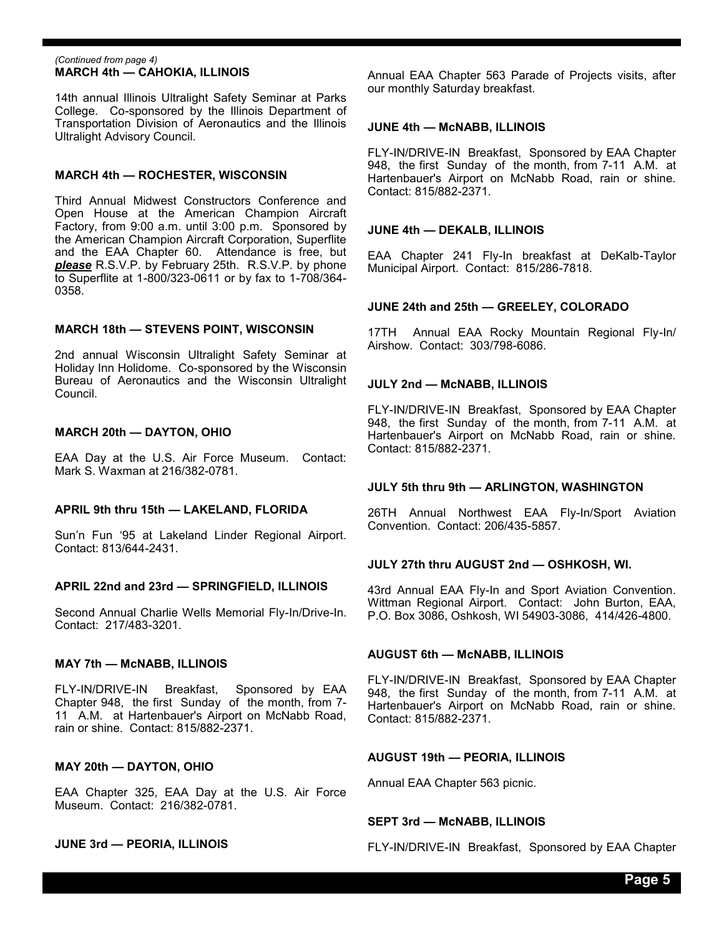#### **MARCH 4th — CAHOKIA, ILLINOIS** *(Continued from page 4)*

14th annual Illinois Ultralight Safety Seminar at Parks College. Co-sponsored by the Illinois Department of Transportation Division of Aeronautics and the Illinois Ultralight Advisory Council.

#### **MARCH 4th — ROCHESTER, WISCONSIN**

Third Annual Midwest Constructors Conference and Open House at the American Champion Aircraft Factory, from 9:00 a.m. until 3:00 p.m. Sponsored by the American Champion Aircraft Corporation, Superflite and the EAA Chapter 60. Attendance is free, but *please* R.S.V.P. by February 25th. R.S.V.P. by phone to Superflite at 1-800/323-0611 or by fax to 1-708/364- 0358.

#### **MARCH 18th — STEVENS POINT, WISCONSIN**

2nd annual Wisconsin Ultralight Safety Seminar at Holiday Inn Holidome. Co-sponsored by the Wisconsin Bureau of Aeronautics and the Wisconsin Ultralight Council.

#### **MARCH 20th — DAYTON, OHIO**

EAA Day at the U.S. Air Force Museum. Contact: Mark S. Waxman at 216/382-0781.

#### **APRIL 9th thru 15th — LAKELAND, FLORIDA**

Sun'n Fun '95 at Lakeland Linder Regional Airport. Contact: 813/644-2431.

#### **APRIL 22nd and 23rd — SPRINGFIELD, ILLINOIS**

Second Annual Charlie Wells Memorial Fly-In/Drive-In. Contact: 217/483-3201.

#### **MAY 7th — McNABB, ILLINOIS**

FLY-IN/DRIVE-IN Breakfast, Sponsored by EAA Chapter 948, the first Sunday of the month, from 7- 11 A.M. at Hartenbauer's Airport on McNabb Road, rain or shine. Contact: 815/882-2371.

#### **MAY 20th — DAYTON, OHIO**

EAA Chapter 325, EAA Day at the U.S. Air Force Museum. Contact: 216/382-0781.

#### **JUNE 3rd — PEORIA, ILLINOIS**

Annual EAA Chapter 563 Parade of Projects visits, after our monthly Saturday breakfast.

#### **JUNE 4th — McNABB, ILLINOIS**

FLY-IN/DRIVE-IN Breakfast, Sponsored by EAA Chapter 948, the first Sunday of the month, from 7-11 A.M. at Hartenbauer's Airport on McNabb Road, rain or shine. Contact: 815/882-2371.

#### **JUNE 4th — DEKALB, ILLINOIS**

EAA Chapter 241 Fly-In breakfast at DeKalb-Taylor Municipal Airport. Contact: 815/286-7818.

#### **JUNE 24th and 25th — GREELEY, COLORADO**

17TH Annual EAA Rocky Mountain Regional Fly-In/ Airshow. Contact: 303/798-6086.

#### **JULY 2nd — McNABB, ILLINOIS**

FLY-IN/DRIVE-IN Breakfast, Sponsored by EAA Chapter 948, the first Sunday of the month, from 7-11 A.M. at Hartenbauer's Airport on McNabb Road, rain or shine. Contact: 815/882-2371.

#### **JULY 5th thru 9th — ARLINGTON, WASHINGTON**

26TH Annual Northwest EAA Fly-In/Sport Aviation Convention. Contact: 206/435-5857.

#### **JULY 27th thru AUGUST 2nd — OSHKOSH, WI.**

43rd Annual EAA Fly-In and Sport Aviation Convention. Wittman Regional Airport. Contact: John Burton, EAA, P.O. Box 3086, Oshkosh, WI 54903-3086, 414/426-4800.

#### **AUGUST 6th — McNABB, ILLINOIS**

FLY-IN/DRIVE-IN Breakfast, Sponsored by EAA Chapter 948, the first Sunday of the month, from 7-11 A.M. at Hartenbauer's Airport on McNabb Road, rain or shine. Contact: 815/882-2371.

#### **AUGUST 19th — PEORIA, ILLINOIS**

Annual EAA Chapter 563 picnic.

#### **SEPT 3rd — McNABB, ILLINOIS**

FLY-IN/DRIVE-IN Breakfast, Sponsored by EAA Chapter